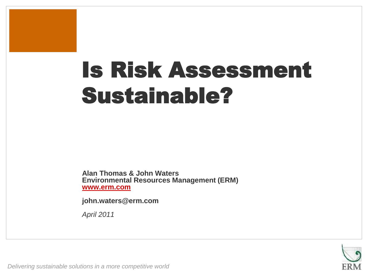# Is Risk Assessment Sustainable?

**Alan Thomas & John Waters Environmental Resources Management (ERM) [www.erm.com](http://www.erm.com/)**

**john.waters@erm.com**

*April 2011*

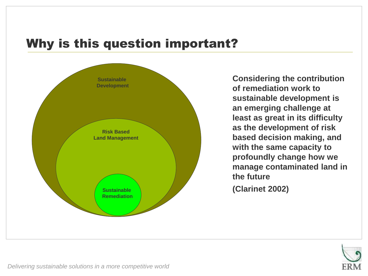## Why is this question important?



**Considering the contribution of remediation work to sustainable development is an emerging challenge at least as great in its difficulty as the development of risk based decision making, and with the same capacity to profoundly change how we manage contaminated land in the future (Clarinet 2002)**

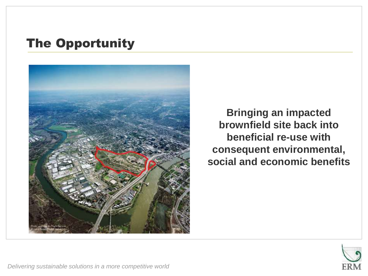# The Opportunity



**Bringing an impacted brownfield site back into beneficial re-use with consequent environmental, social and economic benefits**

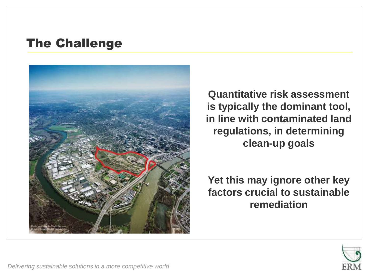## The Challenge



**Quantitative risk assessment is typically the dominant tool, in line with contaminated land regulations, in determining clean-up goals**

**Yet this may ignore other key factors crucial to sustainable remediation**

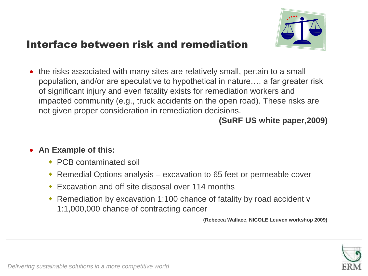

## Interface between risk and remediation

• the risks associated with many sites are relatively small, pertain to a small population, and/or are speculative to hypothetical in nature…. a far greater risk of significant injury and even fatality exists for remediation workers and impacted community (e.g., truck accidents on the open road). These risks are not given proper consideration in remediation decisions.

### **(SuRF US white paper,2009)**

#### **An Example of this:**

- ◆ PCB contaminated soil
- Remedial Options analysis excavation to 65 feet or permeable cover
- Excavation and off site disposal over 114 months
- Remediation by excavation 1:100 chance of fatality by road accident v 1:1,000,000 chance of contracting cancer

**(Rebecca Wallace, NICOLE Leuven workshop 2009)**

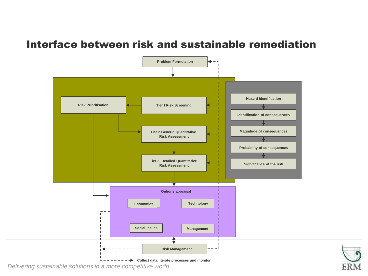#### Interface between risk and sustainable remediation

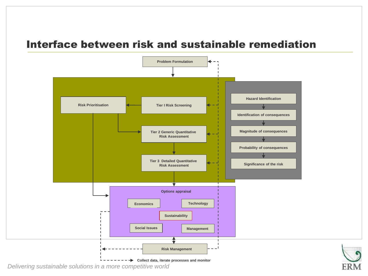#### Interface between risk and sustainable remediation

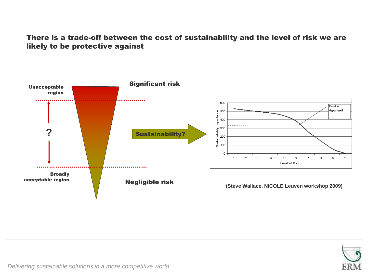#### There is a trade-off between the cost of sustainability and the level of risk we are likely to be protective against



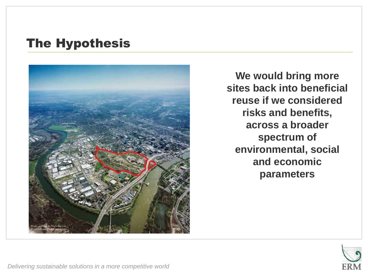## The Hypothesis



**We would bring more sites back into beneficial reuse if we considered risks and benefits, across a broader spectrum of environmental, social and economic parameters**

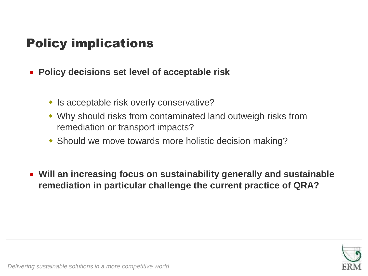## Policy implications

- **Policy decisions set level of acceptable risk**
	- Is acceptable risk overly conservative?
	- Why should risks from contaminated land outweigh risks from remediation or transport impacts?
	- Should we move towards more holistic decision making?
- **Will an increasing focus on sustainability generally and sustainable remediation in particular challenge the current practice of QRA?**

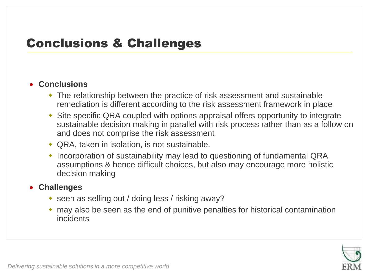## Conclusions & Challenges

#### **Conclusions**

- The relationship between the practice of risk assessment and sustainable remediation is different according to the risk assessment framework in place
- Site specific QRA coupled with options appraisal offers opportunity to integrate sustainable decision making in parallel with risk process rather than as a follow on and does not comprise the risk assessment
- QRA, taken in isolation, is not sustainable.
- Incorporation of sustainability may lead to questioning of fundamental QRA assumptions & hence difficult choices, but also may encourage more holistic decision making

#### **Challenges**

- seen as selling out / doing less / risking away?
- may also be seen as the end of punitive penalties for historical contamination incidents